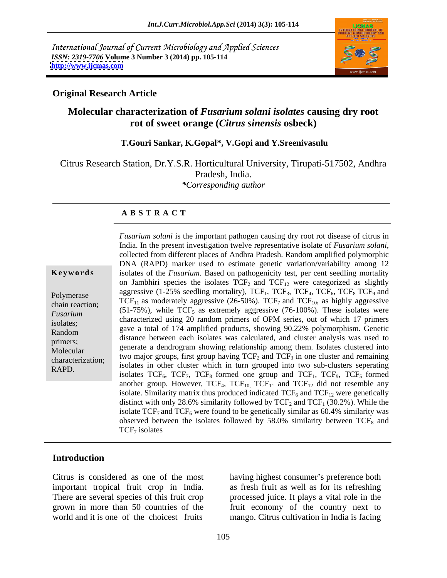International Journal of Current Microbiology and Applied Sciences *ISSN: 2319-7706* **Volume 3 Number 3 (2014) pp. 105-114 <http://www.ijcmas.com>**



#### **Original Research Article**

### **Molecular characterization of** *Fusarium solani isolates* **causing dry root rot of sweet orange (***Citrus sinensis* **osbeck)**

#### **T.Gouri Sankar, K.Gopal\*, V.Gopi and Y.Sreenivasulu**

Citrus Research Station, Dr.Y.S.R. Horticultural University, Tirupati-517502, Andhra Pradesh, India. *\*Corresponding author*

#### **A B S T R A C T**

**Keywords** isolates of the *Fusarium*. Based on pathogenicity test, per cent seedling mortality Polymerase aggressive  $(1-23)$  seedling mortality),  $1 \text{CF}_1$ ,  $1 \text{CF}_2$ ,  $1 \text{CF}_6$ ,  $1 \text{CF}_9$  and chain reaction;  $TCF_{11}$  as moderately aggressive (26-50%).  $TCF_7$  and  $TCF_{10}$ , as highly aggressive  $(76, 100\%)$ . These induces *Fusarium* (51-75%), while  $TCF_5$  as extremely aggressive (76-100%). These isolates were presented a single second for  $\frac{1}{2}$  and  $\frac{1}{2}$  and  $\frac{1}{2}$  and  $\frac{1}{2}$  and  $\frac{1}{2}$  and  $\frac{1}{2}$  and  $\frac{1}{2}$  and  $\frac{$ isolates; characterized using 20 random principal of OPM series, out of which 17 principal characterized using 20 random principal of  $\sim 0.22$  and  $\sim 1.1 \times 10^{-4}$  and  $\sim 0.22$  and  $\sim 1.1 \times 10^{-4}$  and  $\sim 0.22$  and  $\sim$ Random Sources,<br>Random gave a total of 174 amplified products, showing 90.22% polymorphism. Genetic distance between each isolates was calculated, and cluster analysis was used to<br>primers;<br>the concentration of the large served in the cluster of the Laborated into Molecular generate a dendrogram showing relationship among them. Isolates clustered into<br>Molecular the material connections of the same horizo TCE and TCE in any cluster and among the characterization;<br> $R_{\text{ADD}}$  isolates in other cluster which in turn grouped into two sub-clusters seperating *Fusarium solani* is the important pathogen causing dry root rot disease of citrus in India. In the present investigation twelve representative isolates of *Fusarium solanicality*. Collected from different places of Andh India. In the present investigation twelve representative isolate of *Fusarium solani,* collected from different places of Andhra Pradesh. Random amplified polymorphic DNA (RAPD) marker used to estimate genetic variation/variability among 12 on Jambhiri species the isolates  $TCF_2$  and  $TCF_{12}$  were categorized as slightly aggressive (1-25% seedling mortality),  $TCF_1$ ,  $TCF_3$ ,  $TCF_4$ ,  $TCF_6$ ,  $TCF_8$   $TCF_9$  and characterized using 20 random primers of OPM series, out of which 17 primers two major groups, first group having  $TCF_2$  and  $TCF_3$  in one cluster and remaining isolates  $TCF_6$ ,  $TCF_7$ ,  $TCF_8$  formed one group and  $TCF_1$ ,  $TCF_9$ ,  $TCF_5$  formed another group. However,  $TCF_{4}$ ,  $TCF_{10}$ ,  $TCF_{11}$  and  $TCF_{12}$  did not resemble any isolate. Similarity matrix thus produced indicated  $TCF_6$  and  $TCF_{12}$  were genetically distinct with only 28.6% similarity followed by  $TCF_2$  and  $TCF_1$  (30.2%). While the isolate  $TCF<sub>7</sub>$  and  $TCF<sub>6</sub>$  were found to be genetically similar as 60.4% similarity was observed between the isolates followed by  $58.0\%$  similarity between TCF<sub>8</sub> and  $TCF<sub>7</sub>$  isolates

#### **Introduction**

There are several species of this fruit crop world and it is one of the choicest fruits mango. Citrus cultivation in India is facing

Citrus is considered as one of the most having highest consumer's preference both important tropical fruit crop in India. as fresh fruit as well as for its refreshing grown in more than 50 countries of the fruit economy of the country next to processed juice. It plays a vital role in the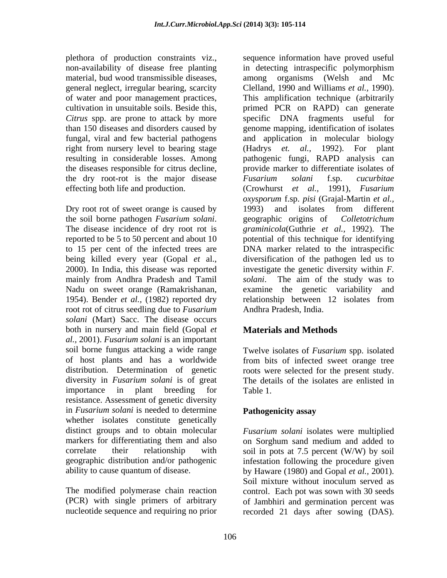non-availability of disease free planting material, bud wood transmissible diseases, among organisms (Welsh and Mc of water and poor management practices, the dry root-rot is the major disease Fusarium solani f.sp. cucurbitae effecting both life and production. (Crowhurst et al., 1991), Fusarium

Dry root rot of sweet orange is caused by 1993) and isolates from different mainly from Andhra Pradesh and Tamil *solani*. The aim of the study was to root rot of citrus seedling due to *Fusarium solani* (Mart) Sacc. The disease occurs both in nursery and main field (Gopal *et* **Materials and Methods** *al.,* 2001). *Fusarium solani* is an important soil borne fungus attacking a wide range of host plants and has a worldwide from bits of infected sweet orange tree distribution. Determination of genetic roots were selected for the present study. diversity in *Fusarium solani* is of great importance in plant breeding for Table 1. resistance. Assessment of genetic diversity in *Fusarium solani* is needed to determine **Pathogenicity assay** whether isolates constitute genetically distinct groups and to obtain molecular markers for differentiating them and also on Sorghum sand medium and added to correlate their relationship with soil in pots at 7.5 percent (W/W) by soil geographic distribution and/or pathogenic infestation following the procedure given

plethora of production constraints viz., sequence information have proved useful general neglect, irregular bearing, scarcity Clelland, 1990 and Williams *et al.,* 1990). cultivation in unsuitable soils. Beside this, primed PCR on RAPD) can generate *Citrus* spp. are prone to attack by more specific DNA fragments useful for than 150 diseases and disorders caused by genome mapping, identification of isolates fungal, viral and few bacterial pathogens and application in molecular biology right from nursery level to bearing stage (Hadrys *et. al.,* 1992). For plant resulting in considerable losses. Among pathogenic fungi, RAPD analysis can the diseases responsible for citrus decline, provide marker to differentiate isolates of the soil borne pathogen *Fusarium solani*. geographic origins of *Colletotrichum*<br>The disease incidence of dry root rot is graminicola(Guthrie et al., 1992). The reported to be 5 to 50 percent and about 10 potential of this technique for identifying to 15 per cent of the infected trees are DNA marker related to the intraspecific being killed every year (Gopal *et* al., diversification of the pathogen led us to 2000). In India, this disease was reported investigate the genetic diversity within *F.*  Nadu on sweet orange (Ramakrishanan, examine the genetic variability and 1954). Bender *et al.,* (1982) reported dry relationship between 12 isolates from in detecting intraspecific polymorphism among organisms (Welsh and Mc This amplification technique (arbitrarily *Fusarium solani* f.sp. *cucurbitae*  (Crowhurst *et al., oxysporum* f.sp. *pisi* (Grajal-Martin *et al.,* 1993) and isolates from different geographic origins of *Colletotrichum graminicola*(Guthrie *et al.,* 1992). The *solani*. The aim of the study was to Andhra Pradesh, India.

# **Materials and Methods**

Twelve isolates of *Fusarium* spp. isolated The details of the isolates are enlisted in Table 1.

## **Pathogenicity assay**

ability to cause quantum of disease. by Haware (1980) and Gopal *et al.,* 2001). The modified polymerase chain reaction control. Each pot was sown with 30 seeds (PCR) with single primers of arbitrary of Jambhiri and germination percent was nucleotide sequence and requiring no prior recorded 21 days after sowing (DAS). *Fusarium solani* isolates were multiplied Soil mixture without inoculum served as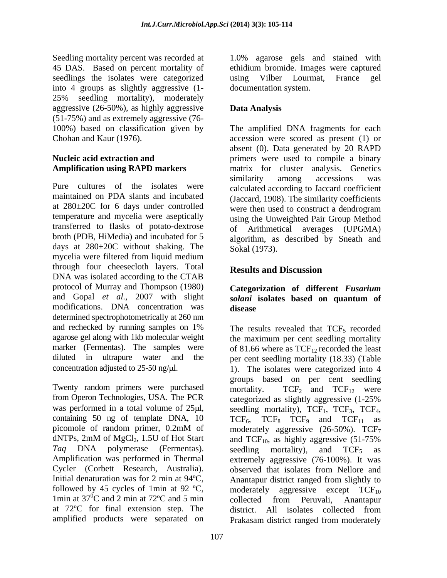Seedling mortality percent was recorded at 1.0% agarose gels and stained with 45 DAS. Based on percent mortality of ethidium bromide. Images were captured seedlings the isolates were categorized using Vilber Lourmat, France gel into 4 groups as slightly aggressive (1- 25% seedling mortality), moderately aggressive (26-50%), as highly aggressive **Data Analysis** (51-75%) and as extremely aggressive (76-

Pure cultures of the isolates were calculated according to Jaccard coefficient maintained on PDA slants and incubated at 280±20C for 6 days under controlled temperature and mycelia were aseptically transferred to flasks of potato-dextrose broth (PDB, HiMedia) and incubated for 5 days at 280±20C without shaking. The mycelia were filtered from liquid medium through four cheesecloth layers. Total DNA was isolated according to the CTAB protocol of Murray and Thompson (1980) **Categorization of different** *Fusarium*  and Gopal *et al.*, 2007 with slight *solani* isolates based on quantum of modifications. DNA concentration was disease determined spectrophotometrically at 260 nm and rechecked by running samples on 1% The results revealed that TCF<sub>5</sub> recorded agarose gel along with 1kb molecular weight marker (Fermentas). The samples were of 81.66 where as  $TCF_{12}$  recorded the least diluted in ultrapure water and the per cent seedling mortality (18.33) (Table

Twenty random primers were purchased mortality.  $TCF_2$  and  $TCF_{12}$  were from Operon Technologies, USA. The PCR was performed in a total volume of  $25\mu l$ , seedling mortality),  $TCF_1$ ,  $TCF_3$ ,  $TCF_4$ , containing 50 ng of template DNA,  $10$  TCF<sub>6</sub>, TCF<sub>8</sub> TCF<sub>9</sub> and TCF<sub>11</sub> as picomole of random primer,  $0.2 \text{mM}$  of moderately aggressive (26-50%). TCF<sub>7</sub> dNTPs, 2mM of MgCl<sub>2</sub>, 1.5U of Hot Start and TCF<sub>10</sub>, as highly aggressive  $(51-75\%$ *Taq* DNA polymerase (Fermentas). Amplification was performed in Thermal extremely aggressive (76-100%). It was Cycler (Corbett Research, Australia). observed that isolates from Nellore and Initial denaturation was for 2 min at 94 °C, Anantapur district ranged from slightly to followed by 45 cycles of 1min at 92 ºC, 1min at  $37^{\circ}$ C and 2 min at  $72^{\circ}$ C and 5 min collected from Peruvali, Anantapur at 72ºC for final extension step. The

107

using Vilber Lourmat, documentation system.

# **Data Analysis**

100%) based on classification given by The amplified DNA fragments for each Chohan and Kaur (1976). accession were scored as present (1) or **Nucleic acid extraction and**  primers were used to compile a binary **Amplification using RAPD markers** matrix for cluster analysis. Genetics absent (0). Data generated by 20 RAPD similarity among accessions was (Jaccard, 1908). The similarity coefficients were then used to construct a dendrogram using the Unweighted Pair Group Method of Arithmetical averages (UPGMA) algorithm, as described by Sneath and Sokal (1973).

# **Results and Discussion**

# *solani* **isolates based on quantum of disease**

concentration adjusted to  $25-50$  ng/ $\mu$ l. (1). The isolates were categorized into 4  ${}^{0}C$  and 2 min at 72°C and 5 min collected from Peruvali, Anantapur amplified products were separated on Prakasam district ranged from moderately The results revealed that  $TCF<sub>5</sub>$  recorded the maximum per cent seedling mortality groups based on per cent seedling mortality.  $TCF_2$  and  $TCF_{12}$  were categorized as slightly aggressive (1-25% seedling mortality),  $TCF_1$ ,  $TCF_3$ ,  $TCF_4$ ,<br> $TCF_6$ ,  $TCF_8$   $TCF_9$  and  $TCF_{11}$  as moderately aggressive  $(26-50\%)$ . TCF<sub>7</sub> seedling mortality), and  $TCF_5$  as aggressive except  $TCF_{10}$ collected from Peruvali, Anantapur district. All isolates collected from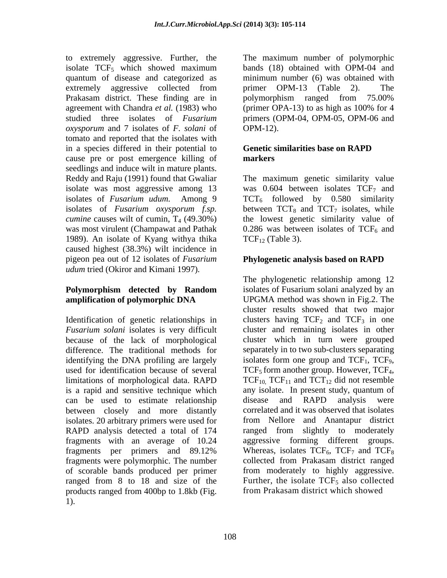to extremely aggressive. Further, the isolate  $TCF_5$  which showed maximum quantum of disease and categorized as minimum number (6) was obtained with extremely aggressive collected from primer OPM-13 (Table 2). The Prakasam district. These finding are in bolymorphism ranged from 75.00% agreement with Chandra *et al.* (1983) who (primer OPA-13) to as high as 100% for 4 studied three isolates of *Fusarium*  primers (OPM-04, OPM-05, OPM-06 and *oxysporum* and 7 isolates of *F. solani* of tomato and reported that the isolates with in a species differed in their potential to cause pre or post emergence killing of **markers** seedlings and induce wilt in mature plants. Reddy and Raju (1991) found that Gwaliar The maximum genetic similarity value isolate was most aggressive among 13 was  $0.604$  between isolates  $TCF<sub>7</sub>$  and isolates of *Fusarium udum*. Among 9 TCT<sub>6</sub> followed by 0.580 similarity isolates of *Fusarium oxysporum f.sp.* between  $TCT_8$  and  $TCT_7$  isolates, while *cumine* causes wilt of cumin, T<sub>4</sub> (49.30%) was most virulent (Champawat and Pathak was most virulent (Champawat and Pathak  $\qquad 0.286$  was between isolates of TCF<sub>6</sub> and 1989). An isolate of Kyang withya thika caused highest (38.3%) wilt incidence in pigeon pea out of 12 isolates of *Fusarium udum* tried (Okiror and Kimani 1997)*.*

Identification of genetic relationships in *Fusarium solani* isolates is very difficult difference. The traditional methods for identifying the DNA profiling are largely isolates form one group and  $TCF_1$ ,  $TCF_9$ , used for identification because of several  $TCF_5$  form another group. However,  $TCF_4$ , limitations of morphological data. RAPD  $TCF_{10}$ ,  $TCF_{11}$  and  $TCT_{12}$  did not resemble can be used to estimate relationship disease and RAPD analysis were between closely and more distantly isolates. 20 arbitrary primers were used for RAPD analysis detected a total of 174 fragments with an average of 10.24 fragments were polymorphic. The number of scorable bands produced per primer ranged from 8 to 18 and size of the products ranged from 400bp to 1.8kb (Fig. 1).

The maximum number of polymorphic bands (18) obtained with OPM-04 and primer OPM-13 (Table 2). The polymorphism ranged from 75.00% (primer OPA-13) to as high as 100% for 4 OPM-12).

### **Genetic similarities base on RAPD markers**

the lowest genetic similarity value of  $TCF_{12}$  (Table 3).

## **Phylogenetic analysis based on RAPD**

**Polymorphism detected by Random amplification of polymorphic DNA** because of the lack of morphological cluster which in turn were grouped is a rapid and sensitive technique which any isolate. In present study, quantum of fragments per primers and 89.12% Whereas, isolates  $TCF_6$ ,  $TCF_7$  and  $TCF_8$ The phylogenetic relationship among 12 isolates of Fusarium solani analyzed by an UPGMA method was shown in Fig.2. The cluster results showed that two major clusters having  $TCF_2$  and  $TCF_3$  in one cluster and remaining isolates in other separately in to two sub-clusters separating isolates form one group and TCF<sub>1</sub>, TCF<sub>9</sub>, TCF<sub>5</sub> form another group. However, TCF<sub>4</sub>, TCF<sub>10,</sub> TCF<sub>11</sub> and TCT<sub>12</sub> did not resemble disease and RAPD analysis were correlated and it was observed that isolates from Nellore and Anantapur district ranged from slightly to moderately aggressive forming different groups. Whereas, isolates  $TCF_6$ ,  $TCF_7$  and  $TCF_8$ collected from Prakasam district ranged from moderately to highly aggressive. Further, the isolate  $TCF<sub>5</sub>$  also collected from Prakasam district which showed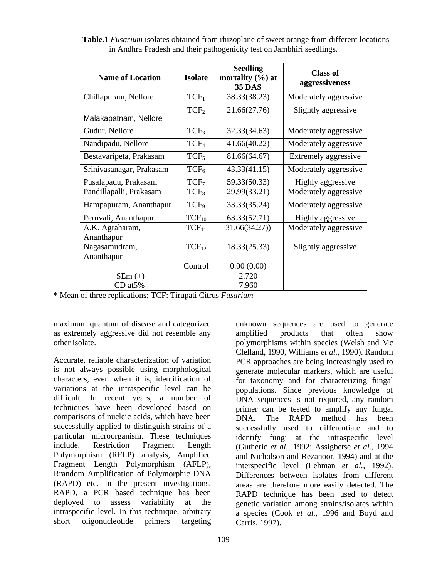| <b>Name of Location</b>               | <b>Isolate</b>                                       | <b>Seedling</b><br>mortality $(\%)$ at<br><b>35 DAS</b> | <b>Class of</b><br>aggressiveness |
|---------------------------------------|------------------------------------------------------|---------------------------------------------------------|-----------------------------------|
| Chillapuram, Nellore                  | $TCF_1$                                              | 38.33(38.23)                                            | Moderately aggressive             |
| Malakapatnam, Nellore                 | TCF <sub>2</sub>                                     | 21.66(27.76)                                            | Slightly aggressive               |
| Gudur, Nellore                        | TCF <sub>3</sub>                                     | 32.33(34.63)                                            | Moderately aggressive             |
| Nandipadu, Nellore                    | TCF <sub>4</sub>                                     | 41.66(40.22)                                            | Moderately aggressive             |
| Bestavaripeta, Prakasam               | TCF <sub>5</sub>                                     | 81.66(64.67)                                            | Extremely aggressive              |
| Srinivasanagar, Prakasam              | $TCF_6$                                              | 43.33(41.15)                                            | Moderately aggressive             |
| Pusalapadu, Prakasam                  | TCF <sub>7</sub>                                     | 59.33(50.33)                                            | Highly aggressive                 |
| Pandillapalli, Prakasam               | TCF <sub>8</sub>                                     | 29.99(33.21)                                            | Moderately aggressive             |
| Hampapuram, Ananthapur                | TCF <sub>9</sub>                                     | 33.33(35.24)                                            | Moderately aggressive             |
| Peruvali, Ananthapur                  |                                                      | 63.33(52.71)                                            | Highly aggressive                 |
| $\vert$ A.K. Agraharam,<br>Ananthapur | $\frac{\overline{\text{TCF}_{10}}}{\text{TCF}_{11}}$ | 31.66(34.27)                                            | Moderately aggressive             |
| Nagasamudram,                         | $TCF_{12}$                                           | 18.33(25.33)                                            | Slightly aggressive               |
| Ananthapur                            |                                                      |                                                         |                                   |
|                                       | Control                                              | 0.00(0.00)                                              |                                   |
| SEm $(\pm)$<br>$CD$ at $5\%$          |                                                      | 2.720<br>7.960                                          |                                   |

**Table.1** *Fusarium* isolates obtained from rhizoplane of sweet orange from different locations in Andhra Pradesh and their pathogenicity test on Jambhiri seedlings.

\* Mean of three replications; TCF: Tirupati Citrus *Fusarium*

maximum quantum of disease and categorized unknown sequences are used to generate as extremely aggressive did not resemble any amplified products that often show<br>other isolate. The notation of the non-

Accurate, reliable characterization of variation PCR approaches are being increasingly used to is not always possible using morphological characters, even when it is, identification of for taxonomy and for characterizing fungal variations at the intraspecific level can be populations. Since previous knowledge of difficult. In recent years, a number of DNA sequences is not required, any random techniques have been developed based on primer can be tested to amplify any fungal comparisons of nucleic acids, which have been **DNA**. The RAPD method has been successfully applied to distinguish strains of a successfully used to differentiate and to particular microorganism. These techniques identify fungi at the intraspecific level include*,* Restriction Fragment Length (Gutheric *et al.,* 1992; Assigbetse *et al.,* 1994 Polymorphism (RFLP) analysis, Amplified and Nicholson and Rezanoor, 1994) and at the Fragment Length Polymorphism (AFLP), interspecific level (Lehman *et al.,* 1992). Rrandom Amplification of Polymorphic DNA Differences between isolates from different (RAPD) etc. In the present investigations, RAPD, a PCR based technique has been RAPD technique has been used to detect deployed to assess variability at the genetic variation among strains/isolates within intraspecific level. In this technique, arbitrary a species (Cook *et al.,* 1996 and Boyd and short oligonucleotide primers targeting Carris 1997).

other isolate. polymorphisms within species (Welsh and Mc amplified products that often show Clelland, 1990, Williams *et al.,* 1990). Random generate molecular markers, which are useful DNA. The RAPD method has been Differences between isolates from different areas are therefore more easily detected. The Carris, 1997).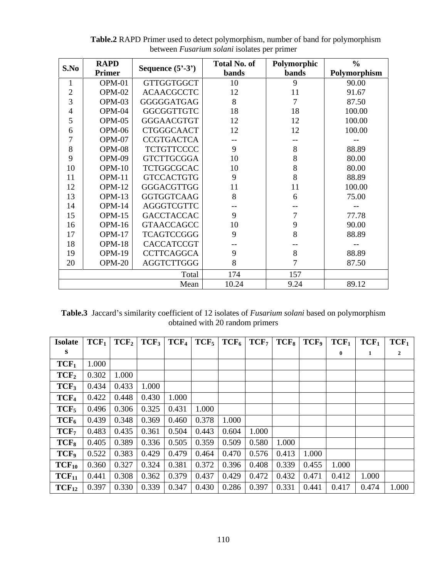| S.No | <b>RAPD</b><br>Primer | Sequence $(5^{\circ}\text{-}3^{\circ})$ | <b>Total No. of</b> | Polymorphic    | $\%$         |
|------|-----------------------|-----------------------------------------|---------------------|----------------|--------------|
|      |                       |                                         | bands               | bands          | Polymorphism |
|      | OPM-01                | <b>GTTGGTGGCT</b>                       | 10                  |                | 90.00        |
|      | $OPM-02$              | <b>ACAACGCCTC</b>                       | $12\,$              | 11             | 91.67        |
|      | OPM-03                | GGGGGATGAG                              |                     |                | 87.50        |
|      | $OPM-04$              | GGCGGTTGTC                              | 18                  | 18             | 100.00       |
|      | OPM-05                | GGGAACGTGT                              | 12                  | 12             | 100.00       |
|      | OPM-06                | CTGGGCAACT                              | 12                  | 12             | 100.00       |
|      | OPM-07                | CCGTGACTCA                              | $--$                | $--$           | $- -$        |
|      | OPM-08                | <b>TCTGTTCCCC</b>                       |                     |                | 88.89        |
|      | OPM-09                | <b>GTCTTGCGGA</b>                       | $10\,$              |                | 80.00        |
| 10   | OPM-1                 | <b>TCTGGCGCAC</b>                       | 10                  |                | 80.00        |
| 11   | OPM-1                 | <b>GTCCACTGTG</b>                       |                     |                | 88.89        |
| 12   | OPM-1                 | GGGACGTTGG                              | 11                  | 11             | 100.00       |
| 13   | OPM-1                 | GGTGGTCAAG                              |                     |                | 75.00        |
| 14   | $OPM-1$               | AGGGTCGTTC                              | $- -$               | $- -$          | $--$         |
| 15   | OPM-1                 | <b>GACCTACCAC</b>                       |                     | $\overline{a}$ | 77.78        |
| 16   | OPM-                  | <b>GTAACCAGCC</b>                       | 10                  |                | 90.00        |
| 17   | $OPM-1'$              | <b>TCAGTCCGGG</b>                       |                     |                | 88.89        |
| 18   | OPM-1                 | CACCATCCGT                              | $- -$               | $- - -$        | $--$         |
| 19   | OPM-1                 | <b>CCTTCAGGCA</b>                       |                     |                | 88.89        |
| 20   | $OPM-20$              | AGGTCTTGGG                              |                     |                | 87.50        |
|      |                       | Total                                   | 174                 | 157            |              |
|      |                       | Mean                                    | 10.24               | 9.24           | 89.12        |
|      |                       |                                         |                     |                |              |

**Table.2** RAPD Primer used to detect polymorphism, number of band for polymorphism between *Fusarium solani* isolates per primer

Table.3 Jaccard's similarity coefficient of 12 isolates of *Fusarium solani* based on polymorphism obtained with 20 random primers

| Isolate   $TCF_1$   $TCF_2$   $TCF_3$   $TCF_4$   $TCF_5$   $TCF_6$   $TCF_7$   $TCF_8$   $TCF_9$   $TCF_1$   $TCF_1$   $TCF_1$ |  |  |  |  |  |  |
|---------------------------------------------------------------------------------------------------------------------------------|--|--|--|--|--|--|
|                                                                                                                                 |  |  |  |  |  |  |
| $TCF_1$   1.000                                                                                                                 |  |  |  |  |  |  |
| $TCF_2$   0.302   1.000                                                                                                         |  |  |  |  |  |  |
| $\mid$ TCF <sub>3</sub>   0.434   0.433   1.000                                                                                 |  |  |  |  |  |  |
| $\begin{array}{ c c c c c c c c c c c } \hline \textbf{TCF}_4 & 0.422 & 0.448 & 0.430 & 1.000 \hline \end{array}$               |  |  |  |  |  |  |
| $\mid$ TCF <sub>5</sub>   0.496   0.306   0.325   0.431   1.000                                                                 |  |  |  |  |  |  |
| $TCF_6$   0.439   0.348   0.369   0.460   0.378   1.000                                                                         |  |  |  |  |  |  |
| $TCF_7$   0.483   0.435   0.361   0.504   0.443   0.604   1.000                                                                 |  |  |  |  |  |  |
| <b>TCF</b> <sub>8</sub>   0.405   0.389   0.336   0.505   0.359   0.509   0.580   1.000                                         |  |  |  |  |  |  |
| <b>TCF</b> <sub>9</sub>   0.522   0.383   0.429   0.479   0.464   0.470   0.576   0.413   1.000                                 |  |  |  |  |  |  |
| <b>TCF</b> <sub>10</sub>   0.360   0.327   0.324   0.381   0.372   0.396   0.408   0.339   0.455   1.000                        |  |  |  |  |  |  |
| <b>TCF</b> <sub>11</sub>   0.441   0.308   0.362   0.379   0.437   0.429   0.472   0.432   0.471   0.412   1.000                |  |  |  |  |  |  |
| $TCF_{12}$   0.397   0.330   0.339   0.347   0.430   0.286   0.397   0.331   0.441   0.417   0.474   1.000                      |  |  |  |  |  |  |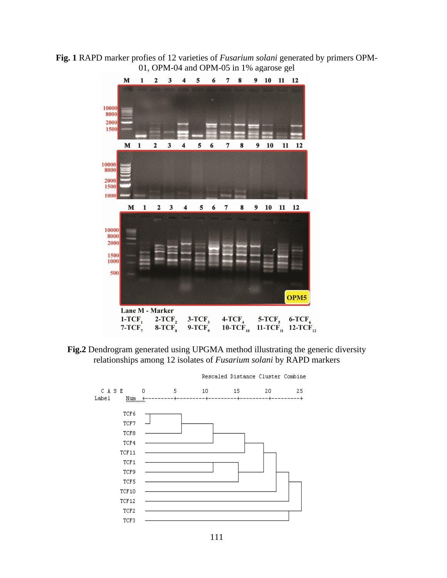**Fig. 1** RAPD marker profies of 12 varieties of *Fusarium solani* generated by primers OPM- 01, OPM-04 and OPM-05 in 1% agarose gel



**Fig.2** Dendrogram generated using UPGMA method illustrating the generic diversity relationships among 12 isolates of *Fusarium solani* by RAPD markers

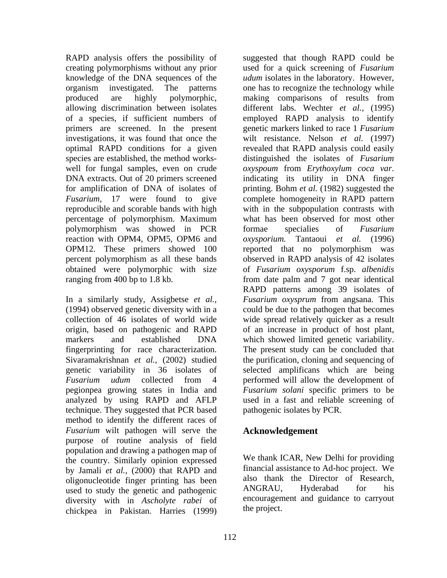knowledge of the DNA sequences of the produced are highly polymorphic, making comparisons of results from investigations, it was found that once the well for fungal samples, even on crude oxyspoum from Erythoxylum coca var. DNA extracts. Out of 20 primers screened indicating its utility in DNA finger polymorphism was showed in PCR formae specialies of Fusarium reaction with OPM4, OPM5, OPM6 and *oxysporium*.

(1994) observed genetic diversity with in a origin, based on pathogenic and RAPD pegionpea growing states in India and analyzed by using RAPD and AFLP technique. They suggested that PCR based method to identify the different races of *Fusarium* wilt pathogen will serve the purpose of routine analysis of field population and drawing a pathogen map of the country. Similarly opinion expressed by Jamali *et al.,* (2000) that RAPD and oligonucleotide finger printing has been also thank the Director of Research,<br>used to study the genetic and pathogenic ANGRAU, Hyderabad for his used to study the genetic and pathogenic diversity with in *Ascholyte rabei* of chickpea in Pakistan. Harries (1999)

RAPD analysis offers the possibility of suggested that though RAPD could be creating polymorphisms without any prior used for a quick screening of *Fusarium*  organism investigated. The patterns one has to recognize the technology while allowing discrimination between isolates different labs. Wechter *et al.,* (1995) of a species, if sufficient numbers of employed RAPD analysis to identify primers are screened. In the present genetic markers linked to race 1 *Fusarium* optimal RAPD conditions for a given revealed that RAPD analysis could easily species are established, the method works- distinguished the isolates of *Fusarium*  for amplification of DNA of isolates of printing. Bohm *et al.* (1982) suggested the *Fusarium,* 17 were found to give complete homogeneity in RAPD pattern reproducible and scorable bands with high with in the subpopulation contrasts with percentage of polymorphism. Maximum OPM12. These primers showed 100 reported that no polymorphism was percent polymorphism as all these bands observed in RAPD analysis of 42 isolates obtained were polymorphic with size of *Fusarium oxysporum* f.sp. *albenidis* ranging from 400 bp to 1.8 kb. from date palm and 7 got near identical In a similarly study, Assigbetse *et al., Fusarium oxysprum* from angsana. This collection of 46 isolates of world wide wide spread relatively quicker as a result markers and established DNA which showed limited genetic variability. fingerprinting for race characterization. The present study can be concluded that Sivaramakrishnan *et al.,* (2002) studied the purification, cloning and sequencing of genetic variability in 36 isolates of selected amplificans which are being *Fusarium udum* collected from 4 performed will allow the development of *udum* isolates in the laboratory. However, making comparisons of results from wilt resistance. Nelson *et al.* (1997) *oxyspoum* from *Erythoxylum coca var*. indicating its utility in DNA finger what has been observed for most other formae specialies of *Fusarium oxysporium.* Tantaoui *et al.* (1996) RAPD patterns among 39 isolates of could be due to the pathogen that becomes of an increase in product of host plant, *Fusarium solani* specific primers to be used in a fast and reliable screening of pathogenic isolates by PCR.

## **Acknowledgement**

We thank ICAR, New Delhi for providing financial assistance to Ad-hoc project. We also thank the Director of Research, ANGRAU, Hyderabad for his encouragement and guidance to carryout the project.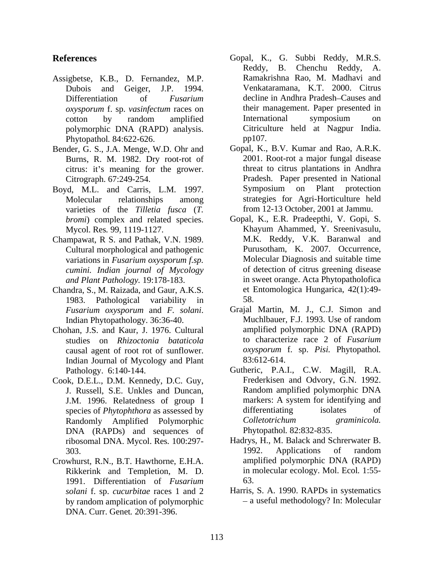- Assigbetse, K.B., D. Fernandez, M.P. Phytopathol. 84:622-626. pp107.
- Bender, G. S., J.A. Menge, W.D. Ohr and Burns, R. M. 1982. Dry root-rot of citrus: it's meaning for the grower.
- Boyd, M.L. and Carris, L.M. 1997. Symposium on Plant protection varieties of the *Tilletia fusca* (*T. bromi*) complex and related species.
- Champawat, R S. and Pathak, V.N. 1989. Cultural morphological and pathogenic variations in *Fusarium oxysporum f.sp. cumini. Indian journal of Mycology*
- Chandra, S., M. Raizada, and Gaur, A.K.S. 1983. Pathological variability in
- Indian Journal of Mycology and Plant 83:612-614.
- Cook, D.E.L., D.M. Kennedy, D.C. Guy, DNA (RAPDs) and sequences of ribosomal DNA. Mycol. Res*.* 100:297-
- Crowhurst, R.N., B.T. Hawthorne, E.H.A. Rikkerink and Templetion, M. D. 1991. Differentiation of *Fusarium solani* f. sp. *cucurbitae* races 1 and 2 by random amplication of polymorphic DNA. Curr. Genet*.* 20:391-396.
- **References** Gopal, K., G. Subbi Reddy, M.R.S. Dubois and Geiger, J.P. 1994. Venkataramana, K.T. 2000. Citrus Differentiation of *Fusarium* decline in Andhra Pradesh–Causes and *oxysporum* f. sp. *vasinfectum* races on their management. Paper presented in cotton by random amplified polymorphic DNA (RAPD) analysis. Reddy, B. Chenchu Reddy, A. Ramakrishna Rao, M. Madhavi and International symposium on Citriculture held at Nagpur India. pp107.
	- Citrograph. 67:249-254. Pradesh. Paper presented in National Molecular relationships among strategies for Agri-Horticulture held Gopal, K., B.V. Kumar and Rao, A.R.K. 2001. Root-rot a major fungal disease threat to citrus plantations in Andhra Symposium on Plant protection from 12-13 October, 2001 at Jammu.
	- Mycol. Res*.* 99, 1119-1127. Khayum Ahammed, Y. Sreenivasulu, *and Plant Pathology.* 19:178-183. in sweet orange. Acta Phytopatholofica Gopal, K., E.R. Pradeepthi, V. Gopi, S. M.K. Reddy, V.K. Baranwal and Purusotham, K. 2007. Occurrence, Molecular Diagnosis and suitable time of detection of citrus greening disease et Entomologica Hungarica, 42(1):49- 58.
- *Fusarium oxysporum* and *F. solani*. Indian Phytopathology. 36:36-40. Chohan, J.S. and Kaur, J. 1976. Cultural studies on *Rhizoctonia bataticola*  to characterize race 2 of *Fusarium*  causal agent of root rot of sunflower. *oxysporum* f. sp. *Pisi.* Phytopathol*.* Grajal Martin, M. J., C.J. Simon and Muchlbauer, F.J. 1993. Use of random amplified polymorphic DNA (RAPD) 83:612-614.
	- Pathology. 6:140-144. Gutheric, P.A.I., C.W. Magill, R.A. J. Russell, S.E. Unkles and Duncan, J.M. 1996. Relatedness of group I species of *Phytophthora* as assessed by differentiating isolates of Randomly Amplified Polymorphic Colletotrichum graminicola. Frederkisen and Odvory, G.N. 1992. Random amplified polymorphic DNA markers: A system for identifying and differentiating isolates of *Colletotrichum graminicola.* Phytopathol*.* 82:832-835.
	- 303. **1992.** Applications of random Hadrys, H., M. Balack and Schrerwater B. 1992. Applications of random amplified polymorphic DNA (RAPD) in molecular ecology. Mol. Ecol*.* 1:55- 63.
		- Harris, S. A. 1990. RAPDs in systematics a useful methodology? In: Molecular